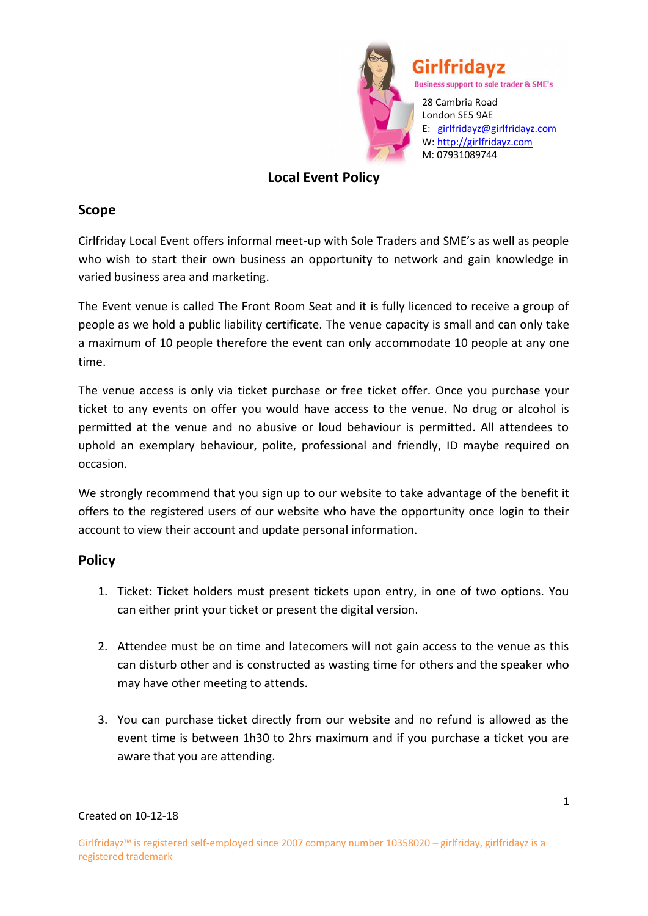

**Business support to sole trader & SME's** 28 Cambria Road London SE5 9AE E: girlfridayz@girlfridayz.com

W: http://girlfridayz.com M: 07931089744

## **Local Event Policy**

## **Scope**

Cirlfriday Local Event offers informal meet-up with Sole Traders and SME's as well as people who wish to start their own business an opportunity to network and gain knowledge in varied business area and marketing.

The Event venue is called The Front Room Seat and it is fully licenced to receive a group of people as we hold a public liability certificate. The venue capacity is small and can only take a maximum of 10 people therefore the event can only accommodate 10 people at any one time.

The venue access is only via ticket purchase or free ticket offer. Once you purchase your ticket to any events on offer you would have access to the venue. No drug or alcohol is permitted at the venue and no abusive or loud behaviour is permitted. All attendees to uphold an exemplary behaviour, polite, professional and friendly, ID maybe required on occasion.

We strongly recommend that you sign up to our website to take advantage of the benefit it offers to the registered users of our website who have the opportunity once login to their account to view their account and update personal information.

## **Policy**

- 1. Ticket: Ticket holders must present tickets upon entry, in one of two options. You can either print your ticket or present the digital version.
- 2. Attendee must be on time and latecomers will not gain access to the venue as this can disturb other and is constructed as wasting time for others and the speaker who may have other meeting to attends.
- 3. You can purchase ticket directly from our website and no refund is allowed as the event time is between 1h30 to 2hrs maximum and if you purchase a ticket you are aware that you are attending.